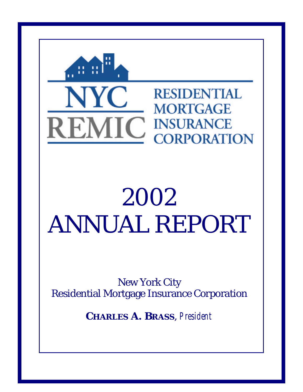

# 2002 ANNUAL REPORT

New York City Residential Mortgage Insurance Corporation

**CHARLES A. BRASS**, *President*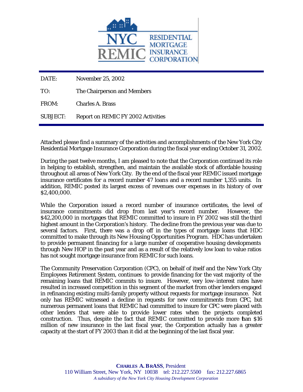

DATE: November 25, 2002

TO: The Chairperson and Members

FROM: Charles A. Brass

SUBJECT: Report on REMIC FY 2002 Activities

Attached please find a summary of the activities and accomplishments of the New York City Residential Mortgage Insurance Corporation during the fiscal year ending October 31, 2002.

During the past twelve months, I am pleased to note that the Corporation continued its role in helping to establish, strengthen, and maintain the available stock of affordable housing throughout all areas of New York City. By the end of the fiscal year REMIC issued mortgage insurance certificates for a record number 47 loans and a record number 1,355 units. In addition, REMIC posted its largest excess of revenues over expenses in its history of over \$2,400,000.

While the Corporation issued a record number of insurance certificates, the level of insurance commitments did drop from last year's record number. However, the \$42,200,000 in mortgages that REMIC committed to insure in FY 2002 was still the third highest amount in the Corporation's history. The decline from the previous year was due to several factors. First, there was a drop off in the types of mortgage loans that HDC committed to make through its New Housing Opportunities Program. HDC has undertaken to provide permanent financing for a large number of cooperative housing developments through New HOP in the past year and as a result of the relatively low loan to value ratios has not sought mortgage insurance from REMIC for such loans.

The Community Preservation Corporation (CPC), on behalf of itself and the New York City Employees Retirement System, continues to provide financing for the vast majority of the remaining loans that REMIC commits to insure. However, very low-interest rates have resulted in increased competition in this segment of the market from other lenders engaged in refinancing existing multi-family property without requests for mortgage insurance. Not only has REMIC witnessed a decline in requests for new commitments from CPC, but numerous permanent loans that REMIC had committed to insure for CPC were placed with other lenders that were able to provide lower rates when the projects completed construction. Thus, despite the fact that REMIC committed to provide more than \$16 million of new insurance in the last fiscal year, the Corporation actually has a greater capacity at the start of FY 2003 than it did at the beginning of the last fiscal year.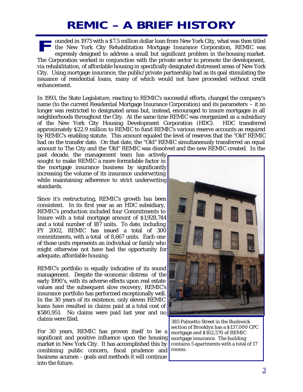### **REMIC – A BRIEF HISTORY**

ounded in 1973 with a \$7.5 million dollar loan from New York City, what was then titled the New York City Rehabilitation Mortgage Insurance Corporation, REMIC was expressly designed to address a small but significant problem in the housing market. The Corporation worked in conjunction with the private sector to promote the development, via rehabilitation, of affordable housing in specifically designated distressed areas of New York City. Using mortgage insurance, the public/private partnership had as its goal stimulating the issuance of residential loans, many of which would not have proceeded without credit enhancement. **F**

In 1993, the State Legislature, reacting to REMIC's successful efforts, changed the company's name (to the current Residential Mortgage Insurance Corporation) and its parameters – it no longer was restricted to designated areas but, instead, encouraged to insure mortgages in all neighborhoods throughout the City. At the same time REMIC was reorganized as a subsidiary of the New York City Housing Development Corporation (HDC). HDC transferred approximately \$22.9 million to REMIC to fund REMIC's various reserve accounts as required by REMIC's enabling statute. This amount equaled the level of reserves that the "Old" REMIC had on the transfer date. On that date, the "Old" REMIC simultaneously transferred an equal amount to The City and the "Old" REMIC was dissolved and the new REMIC created. In the

past decade, the management team has actively sought to make REMIC a more formidable factor in the mortgage insurance business by significantly increasing the volume of its insurance underwriting while maintaining adherence to strict underwriting standards.

Since it's restructuring, REMIC's growth has been consistent. In its first year as an HDC subsidiary, REMIC's production included four Commitments to Insure with a total mortgage amount of \$1,928,744 and a total number of 187 units. To date, including FY 2002, REMIC has issued a total of 300 commitments, with a total of 8,667 units. Each one of those units represents an individual or family who might otherwise not have had the opportunity for adequate, affordable housing.

REMIC's portfolio is equally indicative of its sound management. Despite the economic distress of the early 1990's, with its adverse effects upon real estate values and the subsequent slow recovery, REMIC's insurance portfolio has performed exceptionally well. In the 30 years of its existence, only eleven REMIC loans have resulted in claims paid at a total cost of \$580,951. No claims were paid last year and no claims were filed.

For 30 years, REMIC has proven itself to be a significant and positive influence upon the housing market in New York City. It has accomplished this by combining public concern, fiscal prudence and business acumen - goals and methods it will continue into the future.



385 Palmetto Street in the Bushwick section of Brooklyn has a \$137,000 CPC mortgage and \$102,570 of REMIC mortgage insurance. The building contains 5 apartments with a total of 17 rooms.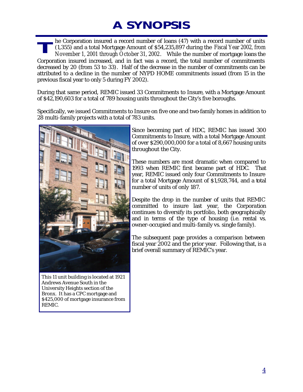## **A SYNOPSIS**

he Corporation insured a record number of loans (47) with a record number of units (1,355) and a total Mortgage Amount of \$54,235,897 during the Fiscal Year 2002, from November 1, 2001 through October 31, 2002. While the number of mortgage loans the Corporation insured increased, and in fact was a record, the total number of commitments decreased by 20 (from 53 to 33). Half of the decrease in the number of commitments can be attributed to a decline in the number of NYPD HOME commitments issued (from 15 in the previous fiscal year to only 5 during FY 2002). **T**

During that same period, REMIC issued 33 Commitments to Insure, with a Mortgage Amount of \$42,190,603 for a total of 789 housing units throughout the City's five boroughs.

Specifically, we issued Commitments to Insure on five one and two-family homes in addition to 28 multi-family projects with a total of 783 units.



This 11 unit building is located at 1921 Andrews Avenue South in the University Heights section of the Bronx. It has a CPC mortgage and \$425,000 of mortgage insurance from REMIC.

Since becoming part of HDC, REMIC has issued 300 Commitments to Insure, with a total Mortgage Amount of over \$290,000,000 for a total of 8,667 housing units throughout the City.

These numbers are most dramatic when compared to 1993 when REMIC first became part of HDC. That year, REMIC issued only four Commitments to Insure for a total Mortgage Amount of \$1,928,744, and a total number of units of only 187.

Despite the drop in the number of units that REMIC committed to insure last year, the Corporation continues to diversify its portfolio, both geographically and in terms of the type of housing (i.e. rental vs. owner-occupied and multi-family vs. single family).

The subsequent page provides a comparison between fiscal year 2002 and the prior year. Following that, is a brief overall summary of REMIC's year.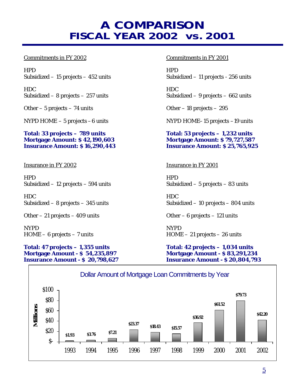#### **A COMPARISON FISCAL YEAR 2002 vs. 2001**

HPD HPD Subsidized – 15 projects – 452 units Subsidized – 11 projects - 256 units

HDC HDC

Other – 5 projects – 74 units Other – 18 projects – 295

**Total: 33 projects – 789 units Total: 53 projects – 1,232 units Mortgage Amount: \$ 42,190,603 Mortgage Amount: \$ 79,727,587 Insurance Amount: \$ 16,290,443 Insurance Amount: \$ 25,765,925**

Insurance in FY 2002 Insurance in FY 2001

HPD HPD Subsidized – 12 projects – 594 units Subsidized – 5 projects – 83 units

HDC HDC

Other – 21 projects – 409 units Other – 6 projects – 121 units

NYPD NYPD

#### **Total: 47 projects – 1,355 units Total: 42 projects – 1,034 units Mortgage Amount - \$ 54,235,897 Mortgage Amount - \$ 83,291,234 Insurance Amount - \$ 20,798,627 Insurance Amount - \$ 20,804,793**

#### Commitments in FY 2002 Commitments in FY 2001

Subsidized – 8 projects – 257 units Subsidized – 9 projects – 662 units

NYPD HOME – 5 projects – 6 units NYPD HOME–15 projects –19 units

Subsidized – 8 projects – 345 units Subsidized – 10 projects – 804 units

HOME – 6 projects – 7 units HOME – 21 projects – 26 units

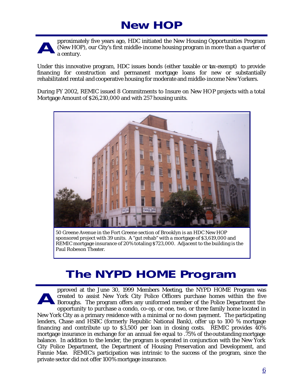### **New HOP**

pproximately five years ago, HDC initiated the New Housing Opportunities Program (New HOP), our City's first middle-income housing program in more than a quarter of a century. **A**

Under this innovative program, HDC issues bonds (either taxable or tax-exempt) to provide financing for construction and permanent mortgage loans for new or substantially rehabilitated rental and cooperative housing for moderate and middle-income New Yorkers.

During FY 2002, REMIC issued 8 Commitments to Insure on New HOP projects with a total Mortgage Amount of \$26,210,000 and with 257 housing units.



50 Greene Avenue in the Fort Greene section of Brooklyn is an HDC New HOP sponsored project with 39 units. A "gut rehab" with a mortgage of \$3,619,000 and REMIC mortgage insurance of 20% totaling \$723,000. Adjacent to the building is the Paul Robeson Theater.

#### **The NYPD HOME Program**

pproved at the June 30, 1999 Members Meeting, the NYPD HOME Program was created to assist New York City Police Officers purchase homes within the five Boroughs. The program offers any uniformed member of the Police Department the opportunity to purchase a condo, co-op, or one, two, or three family home located in New York City as a primary residence with a minimal or no down payment. The participating lenders, Chase and HSBC (formerly Republic National Bank), offer up to 100 % mortgage financing and contribute up to \$3,500 per loan in closing costs. REMIC provides 40% mortgage insurance in exchange for an annual fee equal to .75% of the outstanding mortgage balance. In addition to the lender, the program is operated in conjunction with the New York City Police Department, the Department of Housing Preservation and Development, and Fannie Mae. REMIC's participation was intrinsic to the success of the program, since the private sector did not offer 100% mortgage insurance. **A**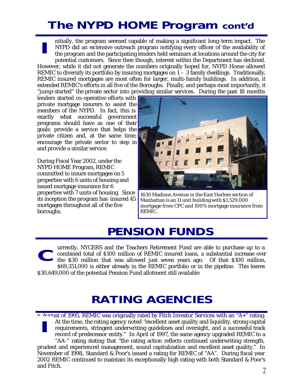### **The NYPD HOME Program cont'd**

nitially, the program seemed capable of making a significant long-term impact. The NYPD did an extensive outreach program notifying every officer of the availability of the program and the participating lenders held seminars at locations around the city for potential customers. Since then though, interest within the Department has declined. However, while it did not generate the numbers originally hoped for, NYPD Home allowed REMIC to diversify its portfolio by insuring mortgages on  $1 - 3$  family dwellings. Traditionally, REMIC insured mortgages are most often for larger, multi-family buildings. In addition, it extended REMIC's efforts in all five of the Boroughs. Finally, and perhaps most importantly, it "jump-started" the private sector into providing similar services. During the past 18 months **I**

lenders started co-operative efforts with private mortgage insurers to assist the members of the NYPD. In fact, this is exactly what successful government programs should have as one of their goals: provide a service that helps the private citizen and, at the same time, encourage the private sector to step in and provide a similar service.

During Fiscal Year 2002, under the NYPD HOME Program, *REMIC* committed to insure mortgages on 5 properties with 6 units of housing and issued mortgage insurance for 6 properties with 7 units of housing. Since its inception the program has insured 45 mortgages throughout all of the five boroughs.



1630 Madison Avenue in the East Harlem section of Manhattan is an 11 unit building with \$1,529,000 mortgage from CPC and 100% mortgage insurance from REMIC.

#### **PENSION FUNDS**

urrently, NYCERS and the Teachers Retirement Fund are able to purchase up to a combined total of \$100 million of REMIC insured loans, a substantial increase over the \$30 million that was allowed just seven years ago. Of that \$100 million, \$69,351,000 is either already in the REMIC portfolio or in the pipeline. This leaves \$30,649,000 of the potential Pension Fund allotment still available **C**

#### **RATING AGENCIES**

n August of 1995, REMIC was originally rated by Fitch Investor Services with an "A+" rating.<br>
At the time, the rating agency noted "excellent asset quality and liquidity, strong capital<br>
requirements, stringent underwritin At the time, the rating agency noted "excellent asset quality and liquidity, strong capital requirements, stringent underwriting guidelines and oversight, and a successful track record of predecessor entity." In April of 1997, the same agency upgraded REMIC to a "AA-" rating stating that "the rating action reflects continued underwriting strength, prudent and experienced management, sound capitalization and excellent asset quality." In November of 1998, Standard & Poor's issued a rating for REMIC of "AA". During fiscal year 2002 REMIC continued to maintain its exceptionally high rating with both Standard & Poor's and Fitch.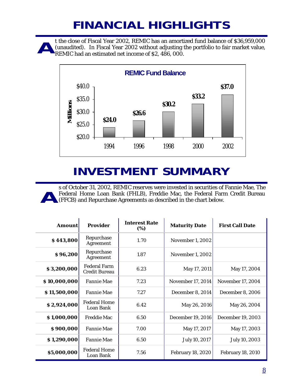### **FINANCIAL HIGHLIGHTS**

t the close of Fiscal Year 2002, REMIC has an amortized fund balance of \$36,959,000 (unaudited). In Fiscal Year 2002 without adjusting the portfolio to fair market value, REMIC had an estimated net income of \$2, 486, 000. **A**



### **INVESTMENT SUMMARY**

s of October 31, 2002, REMIC reserves were invested in securities of Fannie Mae, The Federal Home Loan Bank (FHLB), Freddie Mac, the Federal Farm Credit Bureau (FFCB) and Repurchase Agreements as described in the chart below. **A**

| Amount       | <b>Provider</b>                      | <b>Interest Rate</b><br>(%) | <b>Maturity Date</b>     | <b>First Call Date</b>   |
|--------------|--------------------------------------|-----------------------------|--------------------------|--------------------------|
| \$443,800    | Repurchase<br>Agreement              | 1.70                        | November 1, 2002         |                          |
| \$96,200     | Repurchase<br>Agreement              | 1.87                        | November 1, 2002         |                          |
| \$3,200,000  | <b>Federal Farm</b><br>Credit Bureau | 6.23                        | May 17, 2011             | May 17, 2004             |
| \$10,000,000 | Fannie Mae                           | 7.23                        | November 17, 2014        | November 17, 2004        |
| \$11,500,000 | <b>Fannie Mae</b>                    | 7.27                        | December 8, 2014         | December 8, 2006         |
| \$2,924,000  | <b>Federal Home</b><br>Loan Bank     | 6.42                        | May 26, 2016             | May 26, 2004             |
| \$1,000,000  | <b>Freddie Mac</b>                   | 6.50                        | December 19, 2016        | December 19, 2003        |
| \$900,000    | <b>Fannie Mae</b>                    | 7.00                        | May 17, 2017             | May 17, 2003             |
| \$1,290,000  | <b>Fannie Mae</b>                    | 6.50                        | July 10, 2017            | July 10, 2003            |
| \$5,000,000  | <b>Federal Home</b><br>Loan Bank     | 7.56                        | <b>February 18, 2020</b> | <b>February 18, 2010</b> |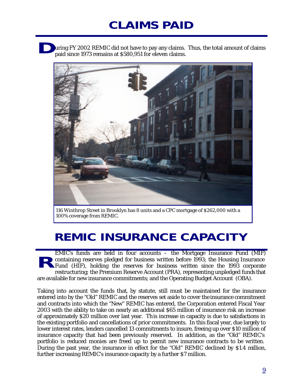### **CLAIMS PAID**

uring FY 2002 *REMIC* did not have to pay any claims. Thus, the total amount of claims paid since 1973 remains at \$580,951 for eleven claims. **D**



116 Winthrop Street in Brooklyn has 8 units and a CPC mortgage of \$262,000 with a 100% coverage from REMIC.

#### **REMIC INSURANCE CAPACITY**

EMIC's funds are held in four accounts – the Mortgage Insurance Fund (MIF) containing reserves pledged for business written before 1993; the Housing Insurance Fund (HIF), holding the reserves for business written since the 1993 corporate restructuring; the Premium Reserve Account (PRA), representing unpledged funds that are available for new insurance commitments; and the Operating Budget Account (OBA). **R**

Taking into account the funds that, by statute, still must be maintained for the insurance entered into by the "Old" REMIC and the reserves set aside to cover the insurance commitment and contracts into which the "New" REMIC has entered, the Corporation entered Fiscal Year 2003 with the ability to take on nearly an additional \$65 million of insurance risk an increase of approximately \$20 million over last year. This increase in capacity is due to satisfactions in the existing portfolio and cancellations of prior commitments. In this fiscal year, due largely to lower interest rates, lenders cancelled 13 commitments to insure, freeing up over \$10 million of insurance capacity that had been previously reserved. In addition, as the "Old" REMIC's portfolio is reduced monies are freed up to permit new insurance contracts to be written. During the past year, the insurance in effect for the "Old" REMIC declined by \$1.4 million, further increasing REMIC's insurance capacity by a further \$7 million.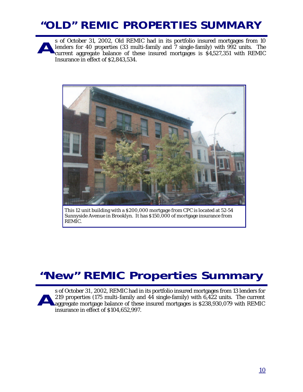### **"OLD" REMIC PROPERTIES SUMMARY**

s of October 31, 2002, Old REMIC had in its portfolio insured mortgages from 10 lenders for 40 properties (33 multi-family and 7 single-family) with 992 units. The current aggregate balance of these insured mortgages is \$4,527,351 with REMIC Insurance in effect of \$2,843,534. **A**



This 12 unit building with a \$200,000 mortgage from CPC is located at 52-54 Sunnyside Avenue in Brooklyn. It has \$150,000 of mortgage insurance from REMIC.

### **"New" REMIC Properties Summary**

s of October 31 , 2002, REMIC had in its portfolio insured mortgages from 13 lenders for 219 properties (175 multi-family and 44 single-family) with 6,422 units. The current aggregate mortgage balance of these insured mortgages is \$238,930,079 with REMIC insurance in effect of \$104,652,997. **A**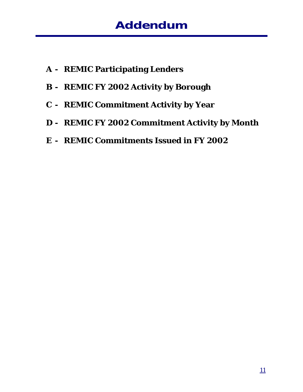- **A REMIC Participating Lenders**
- **B REMIC FY 2002 Activity by Borough**
- **C REMIC Commitment Activity by Year**
- **D REMIC FY 2002 Commitment Activity by Month**
- **E REMIC Commitments Issued in FY 2002**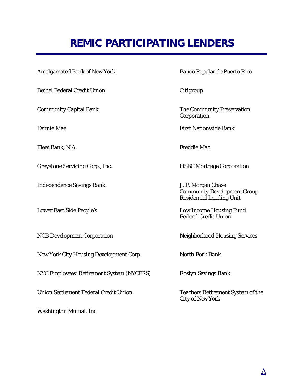### **REMIC PARTICIPATING LENDERS**

Amalgamated Bank of New York Banco Popular de Puerto Rico

Bethel Federal Credit Union Citigroup

Fleet Bank, N.A. Freddie Mac

Greystone Servicing Corp., Inc. The Most extended HSBC Mortgage Corporation

Independence Savings Bank J. P. Morgan Chase

New York City Housing Development Corp. North Fork Bank

NYC Employees' Retirement System (NYCERS) Roslyn Savings Bank

Union Settlement Federal Credit Union Teachers Retirement System of the

Washington Mutual, Inc.

Community Capital Bank The Community Preservation Corporation

Fannie Mae First Nationwide Bank

 Community Development Group Residential Lending Unit

Lower East Side People's Low Income Housing Fund Federal Credit Union

NCB Development Corporation Neighborhood Housing Services

City of New York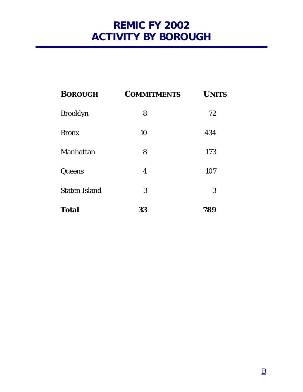#### **REMIC FY 2002 ACTIVITY BY BOROUGH**

| <b>BOROUGH</b>       | <b>COMMITMENTS</b> | <b>UNITS</b> |
|----------------------|--------------------|--------------|
| <b>Brooklyn</b>      | 8                  | 72           |
| <b>Bronx</b>         | 10                 | 434          |
| Manhattan            | 8                  | 173          |
| Queens               | 4                  | 107          |
| <b>Staten Island</b> | 3                  | 3            |
| <b>Total</b>         | 33                 | 789          |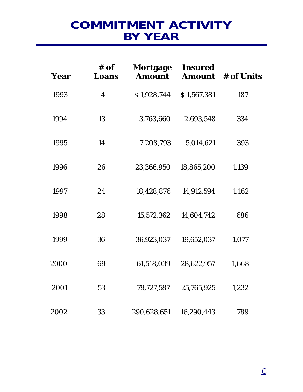#### **COMMITMENT ACTIVITY BY YEAR**

| Year | <u># of</u><br>Loans | <b>Mortgage</b><br><b>Amount</b> | <b>Insured</b><br><u>Amount</u> | <b># of Units</b> |
|------|----------------------|----------------------------------|---------------------------------|-------------------|
| 1993 | $\overline{4}$       | \$1,928,744                      | \$1,567,381                     | 187               |
| 1994 | 13                   | 3,763,660                        | 2,693,548                       | 334               |
| 1995 | 14                   | 7,208,793                        | 5,014,621                       | 393               |
| 1996 | 26                   | 23,366,950                       | 18,865,200                      | 1,139             |
| 1997 | 24                   | 18,428,876                       | 14,912,594                      | 1,162             |
| 1998 | 28                   | 15,572,362                       | 14,604,742                      | 686               |
| 1999 | 36                   | 36,923,037                       | 19,652,037                      | 1,077             |
| 2000 | 69                   | 61,518,039                       | 28,622,957                      | 1,668             |
| 2001 | 53                   | 79,727,587                       | 25,765,925                      | 1,232             |
| 2002 | 33                   | 290,628,651                      | 16,290,443                      | 789               |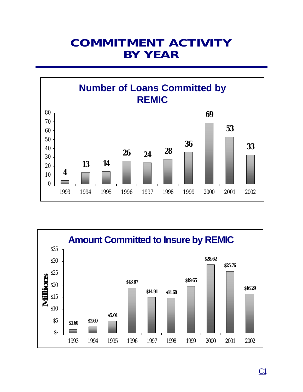#### **COMMITMENT ACTIVITY BY YEAR**



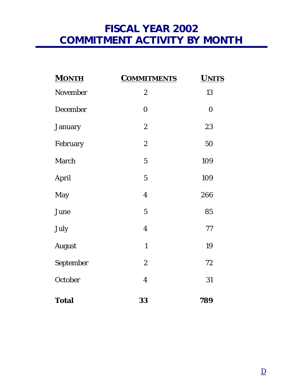#### **FISCAL YEAR 2002 COMMITMENT ACTIVITY BY MONTH**

| <b>MONTH</b>  | <b>COMMITMENTS</b> | <b>UNITS</b>     |
|---------------|--------------------|------------------|
| November      | $\boldsymbol{2}$   | 13               |
| December      | $\boldsymbol{0}$   | $\boldsymbol{0}$ |
| January       | $\boldsymbol{2}$   | 23               |
| February      | $\overline{c}$     | 50               |
| March         | $\sqrt{5}$         | 109              |
| April         | $\overline{5}$     | 109              |
| May           | $\overline{4}$     | 266              |
| June          | $\overline{5}$     | 85               |
| July          | $\boldsymbol{4}$   | 77               |
| <b>August</b> | $\mathbf{1}$       | 19               |
| September     | $\boldsymbol{2}$   | 72               |
| October       | $\overline{4}$     | 31               |
| <b>Total</b>  | 33                 | 789              |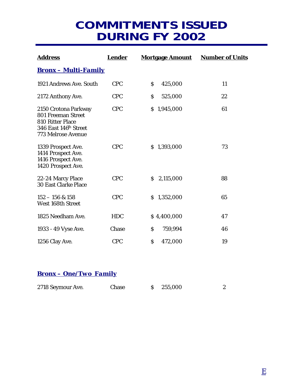#### **COMMITMENTS ISSUED DURING FY 2002**

| <b>Address</b>                                                                                                            | <b>Lender</b> | <b>Mortgage Amount</b>        | <b>Number of Units</b> |
|---------------------------------------------------------------------------------------------------------------------------|---------------|-------------------------------|------------------------|
| <u> Bronx – Multi-Family</u>                                                                                              |               |                               |                        |
| 1921 Andrews Ave. South                                                                                                   | <b>CPC</b>    | $\mathsf{S}$<br>425,000       | 11                     |
| 2172 Anthony Ave.                                                                                                         | <b>CPC</b>    | $\mathsf{S}$<br>525,000       | 22                     |
| 2150 Crotona Parkway<br>801 Freeman Street<br>810 Ritter Place<br>346 East 146 <sup>th</sup> Street<br>773 Melrose Avenue | <b>CPC</b>    | \$1,945,000                   | 61                     |
| 1339 Prospect Ave.<br>1414 Prospect Ave.<br>1416 Prospect Ave.<br>1420 Prospect Ave.                                      | <b>CPC</b>    | \$1,393,000                   | 73                     |
| 22-24 Marcy Place<br><b>30 East Clarke Place</b>                                                                          | <b>CPC</b>    | \$2,115,000                   | 88                     |
| $152 - 156$ & 158<br>West 168th Street                                                                                    | <b>CPC</b>    | \$1,352,000                   | 65                     |
| 1825 Needham Ave.                                                                                                         | <b>HDC</b>    | \$4,400,000                   | 47                     |
| 1933 - 49 Vyse Ave.                                                                                                       | Chase         | $\mathsf{\hat{S}}$<br>759,994 | 46                     |
| 1256 Clay Ave.                                                                                                            | <b>CPC</b>    | \$<br>472,000                 | 19                     |

#### *Bronx – One/Two Family*

| 2718 Seymour Ave. | Chase | $\frac{$}{5}$ 255,000 |  |
|-------------------|-------|-----------------------|--|
|                   |       |                       |  |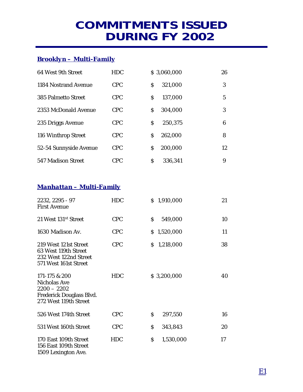#### **COMMITMENTS ISSUED DURING FY 2002**

#### *Brooklyn – Multi-Family*

| 64 West 9th Street     | <b>HDC</b> |   | \$3,060,000 | 26 |
|------------------------|------------|---|-------------|----|
| 1184 Nostrand Avenue   | <b>CPC</b> | S | 321,000     | 3  |
| 385 Palmetto Street    | <b>CPC</b> | S | 137,000     | 5  |
| 2353 McDonald Avenue   | <b>CPC</b> | S | 304,000     | 3  |
| 235 Driggs Avenue      | <b>CPC</b> | Ś | 250,375     | 6  |
| 116 Winthrop Street    | <b>CPC</b> | S | 262,000     | 8  |
| 52-54 Sunnyside Avenue | <b>CPC</b> | S | 200,000     | 12 |
| 547 Madison Street     | <b>CPC</b> | S | 336,341     | 9  |

#### *Manhattan – Multi-Family*

| 2232, 2295 - 97<br>First Avenue                                                                     | <b>HDC</b> | \$1,910,000     | 21 |
|-----------------------------------------------------------------------------------------------------|------------|-----------------|----|
| 21 West 131 <sup>st</sup> Street                                                                    | <b>CPC</b> | \$<br>549,000   | 10 |
| 1630 Madison Av.                                                                                    | <b>CPC</b> | \$1,520,000     | 11 |
| 219 West 121st Street<br>63 West 119th Street<br>232 West 122nd Street<br>571 West 161st Street     | <b>CPC</b> | \$1,218,000     | 38 |
| 171-175 & 200<br>Nicholas Ave<br>$2200 - 2202$<br>Frederick Douglass Blvd.<br>272 West 119th Street | <b>HDC</b> | \$3,200,000     | 40 |
| 526 West 174th Street                                                                               | <b>CPC</b> | \$<br>297,550   | 16 |
| 531 West 160th Street                                                                               | <b>CPC</b> | \$<br>343,843   | 20 |
| 170 East 109th Street<br>156 East 109th Street<br>1509 Lexington Ave.                               | <b>HDC</b> | \$<br>1,530,000 | 17 |